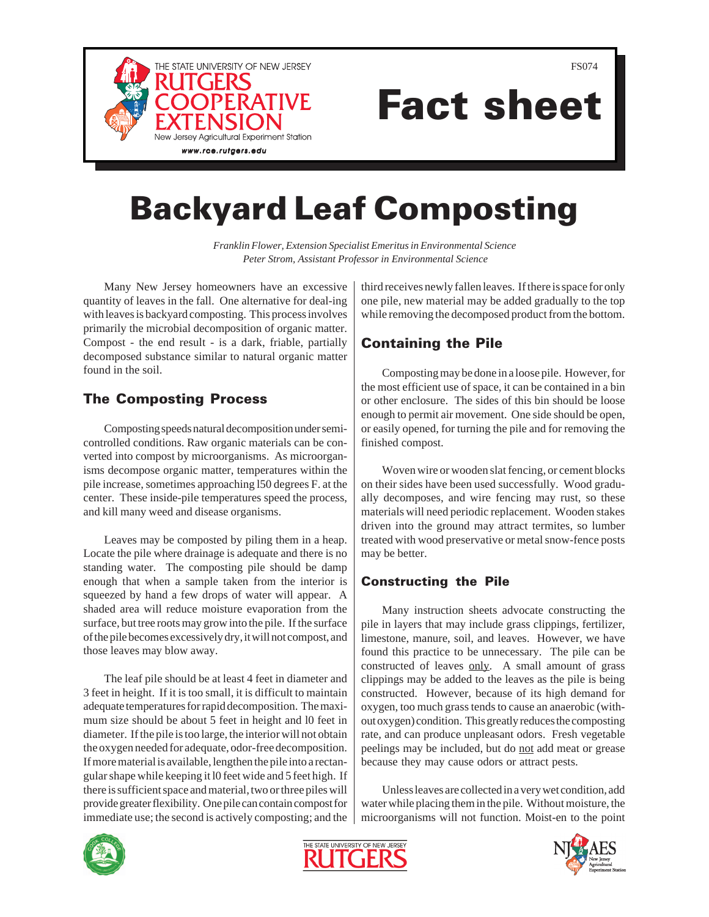

FS074

# Fact sheet

## Backyard Leaf Composting

*Franklin Flower, Extension Specialist Emeritus in Environmental Science Peter Strom, Assistant Professor in Environmental Science*

Many New Jersey homeowners have an excessive quantity of leaves in the fall. One alternative for deal-ing with leaves is backyard composting. This process involves primarily the microbial decomposition of organic matter. Compost - the end result - is a dark, friable, partially decomposed substance similar to natural organic matter found in the soil.

#### The Composting Process

Composting speeds natural decomposition under semicontrolled conditions. Raw organic materials can be converted into compost by microorganisms. As microorganisms decompose organic matter, temperatures within the pile increase, sometimes approaching l50 degrees F. at the center. These inside-pile temperatures speed the process, and kill many weed and disease organisms.

Leaves may be composted by piling them in a heap. Locate the pile where drainage is adequate and there is no standing water. The composting pile should be damp enough that when a sample taken from the interior is squeezed by hand a few drops of water will appear. A shaded area will reduce moisture evaporation from the surface, but tree roots may grow into the pile. If the surface of the pile becomes excessively dry, it will not compost, and those leaves may blow away.

The leaf pile should be at least 4 feet in diameter and 3 feet in height. If it is too small, it is difficult to maintain adequate temperatures for rapid decomposition. The maximum size should be about 5 feet in height and l0 feet in diameter. If the pile is too large, the interior will not obtain the oxygen needed for adequate, odor-free decomposition. If more material is available, lengthen the pile into a rectangular shape while keeping it l0 feet wide and 5 feet high. If there is sufficient space and material, two or three piles will provide greater flexibility. One pile can contain compost for immediate use; the second is actively composting; and the third receives newly fallen leaves. If there is space for only one pile, new material may be added gradually to the top while removing the decomposed product from the bottom.

### Containing the Pile

Composting may be done in a loose pile. However, for the most efficient use of space, it can be contained in a bin or other enclosure. The sides of this bin should be loose enough to permit air movement. One side should be open, or easily opened, for turning the pile and for removing the finished compost.

Woven wire or wooden slat fencing, or cement blocks on their sides have been used successfully. Wood gradually decomposes, and wire fencing may rust, so these materials will need periodic replacement. Wooden stakes driven into the ground may attract termites, so lumber treated with wood preservative or metal snow-fence posts may be better.

#### Constructing the Pile

Many instruction sheets advocate constructing the pile in layers that may include grass clippings, fertilizer, limestone, manure, soil, and leaves. However, we have found this practice to be unnecessary. The pile can be constructed of leaves only. A small amount of grass clippings may be added to the leaves as the pile is being constructed. However, because of its high demand for oxygen, too much grass tends to cause an anaerobic (without oxygen) condition. This greatly reduces the composting rate, and can produce unpleasant odors. Fresh vegetable peelings may be included, but do not add meat or grease because they may cause odors or attract pests.

Unless leaves are collected in a very wet condition, add water while placing them in the pile. Without moisture, the microorganisms will not function. Moist-en to the point